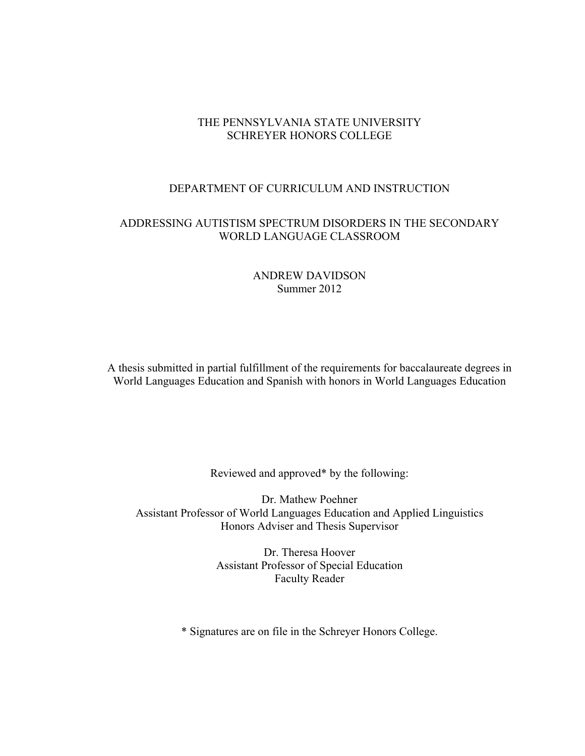# THE PENNSYLVANIA STATE UNIVERSITY SCHREYER HONORS COLLEGE

### DEPARTMENT OF CURRICULUM AND INSTRUCTION

# ADDRESSING AUTISTISM SPECTRUM DISORDERS IN THE SECONDARY WORLD LANGUAGE CLASSROOM

# ANDREW DAVIDSON Summer 2012

A thesis submitted in partial fulfillment of the requirements for baccalaureate degrees in World Languages Education and Spanish with honors in World Languages Education

Reviewed and approved\* by the following:

Dr. Mathew Poehner Assistant Professor of World Languages Education and Applied Linguistics Honors Adviser and Thesis Supervisor

> Dr. Theresa Hoover Assistant Professor of Special Education Faculty Reader

\* Signatures are on file in the Schreyer Honors College.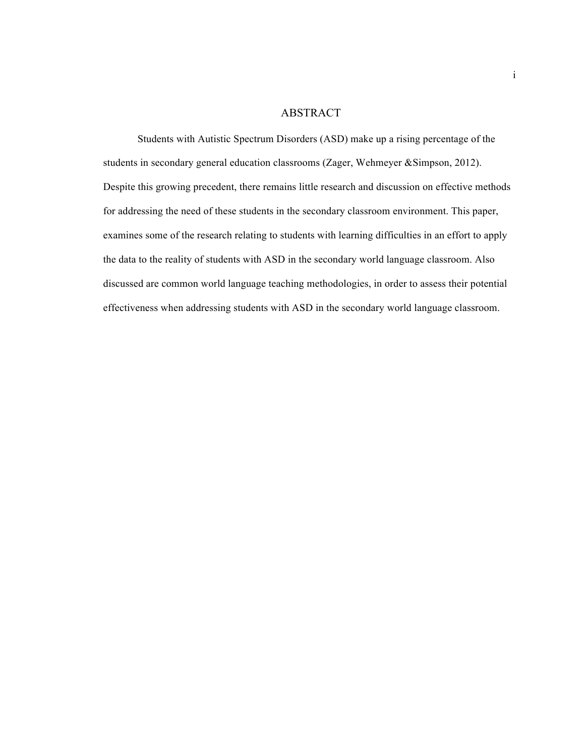#### ABSTRACT

Students with Autistic Spectrum Disorders (ASD) make up a rising percentage of the students in secondary general education classrooms (Zager, Wehmeyer &Simpson, 2012). Despite this growing precedent, there remains little research and discussion on effective methods for addressing the need of these students in the secondary classroom environment. This paper, examines some of the research relating to students with learning difficulties in an effort to apply the data to the reality of students with ASD in the secondary world language classroom. Also discussed are common world language teaching methodologies, in order to assess their potential effectiveness when addressing students with ASD in the secondary world language classroom.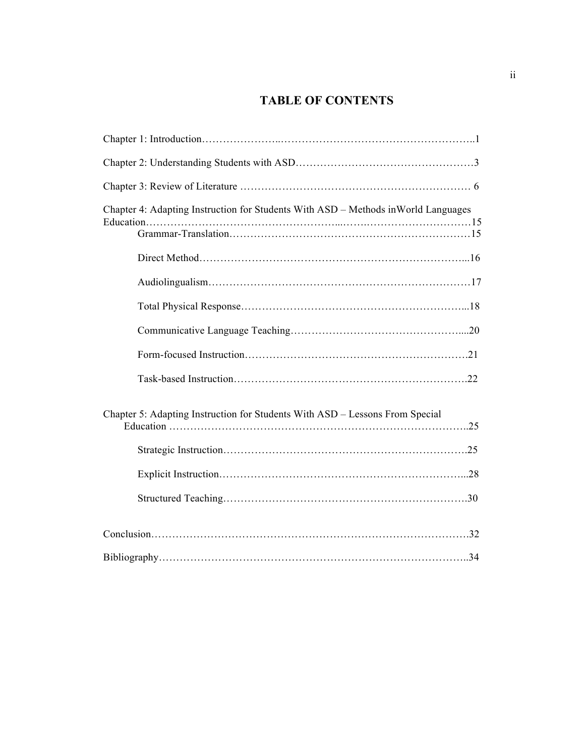# **TABLE OF CONTENTS**

| Chapter 4: Adapting Instruction for Students With ASD – Methods in World Languages |
|------------------------------------------------------------------------------------|
|                                                                                    |
|                                                                                    |
|                                                                                    |
|                                                                                    |
|                                                                                    |
|                                                                                    |
|                                                                                    |
| Chapter 5: Adapting Instruction for Students With ASD - Lessons From Special       |
|                                                                                    |
|                                                                                    |
|                                                                                    |
|                                                                                    |
|                                                                                    |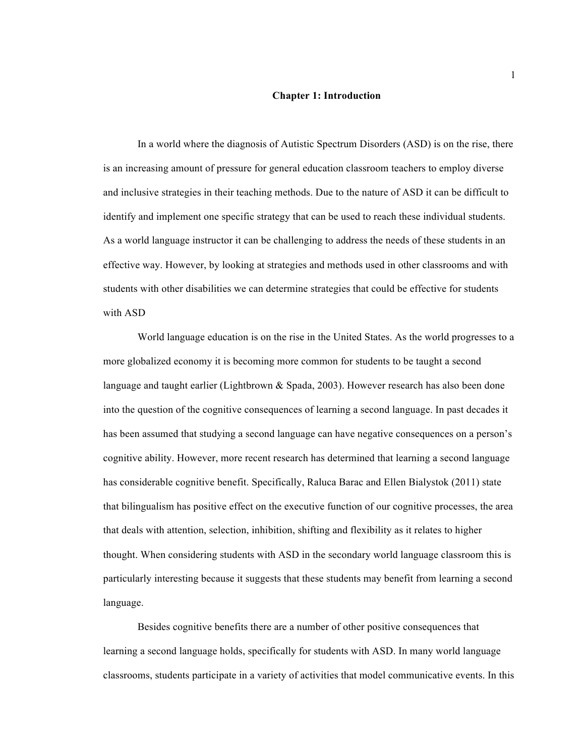#### **Chapter 1: Introduction**

In a world where the diagnosis of Autistic Spectrum Disorders (ASD) is on the rise, there is an increasing amount of pressure for general education classroom teachers to employ diverse and inclusive strategies in their teaching methods. Due to the nature of ASD it can be difficult to identify and implement one specific strategy that can be used to reach these individual students. As a world language instructor it can be challenging to address the needs of these students in an effective way. However, by looking at strategies and methods used in other classrooms and with students with other disabilities we can determine strategies that could be effective for students with ASD

World language education is on the rise in the United States. As the world progresses to a more globalized economy it is becoming more common for students to be taught a second language and taught earlier (Lightbrown & Spada, 2003). However research has also been done into the question of the cognitive consequences of learning a second language. In past decades it has been assumed that studying a second language can have negative consequences on a person's cognitive ability. However, more recent research has determined that learning a second language has considerable cognitive benefit. Specifically, Raluca Barac and Ellen Bialystok (2011) state that bilingualism has positive effect on the executive function of our cognitive processes, the area that deals with attention, selection, inhibition, shifting and flexibility as it relates to higher thought. When considering students with ASD in the secondary world language classroom this is particularly interesting because it suggests that these students may benefit from learning a second language.

Besides cognitive benefits there are a number of other positive consequences that learning a second language holds, specifically for students with ASD. In many world language classrooms, students participate in a variety of activities that model communicative events. In this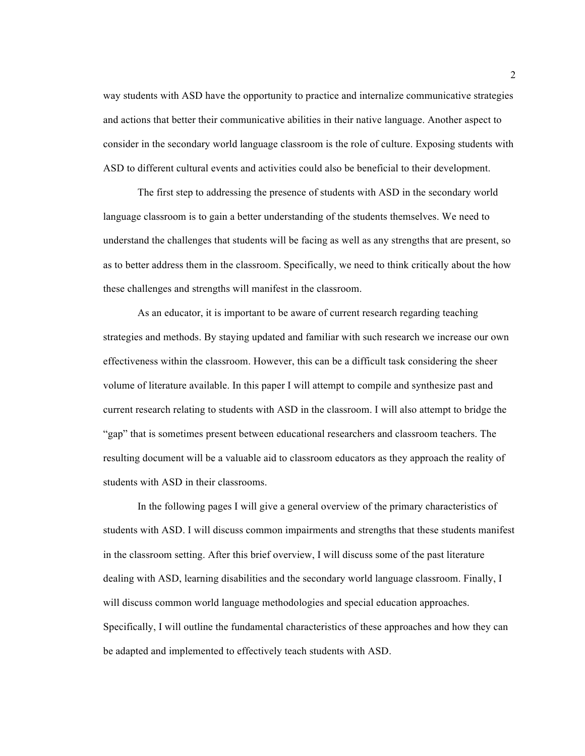way students with ASD have the opportunity to practice and internalize communicative strategies and actions that better their communicative abilities in their native language. Another aspect to consider in the secondary world language classroom is the role of culture. Exposing students with ASD to different cultural events and activities could also be beneficial to their development.

The first step to addressing the presence of students with ASD in the secondary world language classroom is to gain a better understanding of the students themselves. We need to understand the challenges that students will be facing as well as any strengths that are present, so as to better address them in the classroom. Specifically, we need to think critically about the how these challenges and strengths will manifest in the classroom.

As an educator, it is important to be aware of current research regarding teaching strategies and methods. By staying updated and familiar with such research we increase our own effectiveness within the classroom. However, this can be a difficult task considering the sheer volume of literature available. In this paper I will attempt to compile and synthesize past and current research relating to students with ASD in the classroom. I will also attempt to bridge the "gap" that is sometimes present between educational researchers and classroom teachers. The resulting document will be a valuable aid to classroom educators as they approach the reality of students with ASD in their classrooms.

In the following pages I will give a general overview of the primary characteristics of students with ASD. I will discuss common impairments and strengths that these students manifest in the classroom setting. After this brief overview, I will discuss some of the past literature dealing with ASD, learning disabilities and the secondary world language classroom. Finally, I will discuss common world language methodologies and special education approaches. Specifically, I will outline the fundamental characteristics of these approaches and how they can be adapted and implemented to effectively teach students with ASD.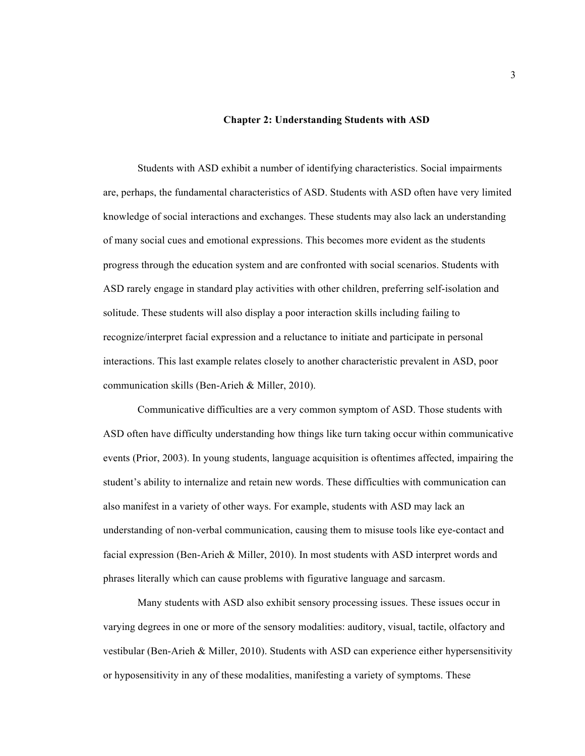#### **Chapter 2: Understanding Students with ASD**

Students with ASD exhibit a number of identifying characteristics. Social impairments are, perhaps, the fundamental characteristics of ASD. Students with ASD often have very limited knowledge of social interactions and exchanges. These students may also lack an understanding of many social cues and emotional expressions. This becomes more evident as the students progress through the education system and are confronted with social scenarios. Students with ASD rarely engage in standard play activities with other children, preferring self-isolation and solitude. These students will also display a poor interaction skills including failing to recognize/interpret facial expression and a reluctance to initiate and participate in personal interactions. This last example relates closely to another characteristic prevalent in ASD, poor communication skills (Ben-Arieh & Miller, 2010).

Communicative difficulties are a very common symptom of ASD. Those students with ASD often have difficulty understanding how things like turn taking occur within communicative events (Prior, 2003). In young students, language acquisition is oftentimes affected, impairing the student's ability to internalize and retain new words. These difficulties with communication can also manifest in a variety of other ways. For example, students with ASD may lack an understanding of non-verbal communication, causing them to misuse tools like eye-contact and facial expression (Ben-Arieh & Miller, 2010). In most students with ASD interpret words and phrases literally which can cause problems with figurative language and sarcasm.

Many students with ASD also exhibit sensory processing issues. These issues occur in varying degrees in one or more of the sensory modalities: auditory, visual, tactile, olfactory and vestibular (Ben-Arieh & Miller, 2010). Students with ASD can experience either hypersensitivity or hyposensitivity in any of these modalities, manifesting a variety of symptoms. These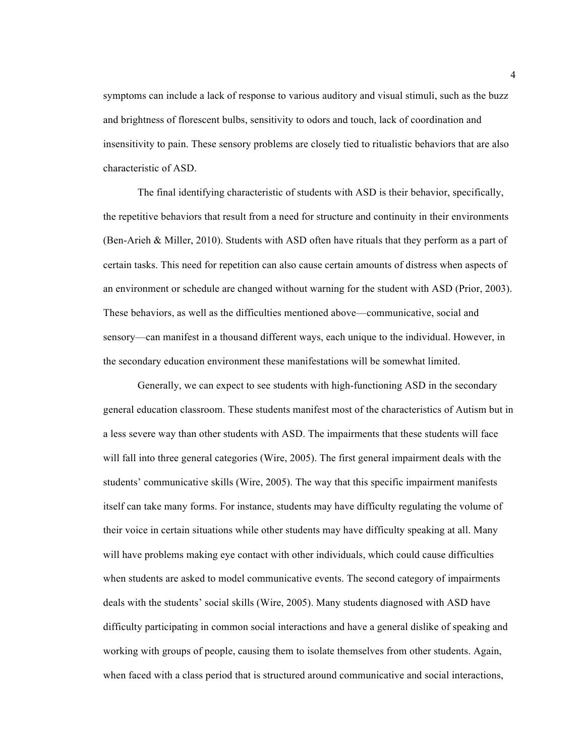symptoms can include a lack of response to various auditory and visual stimuli, such as the buzz and brightness of florescent bulbs, sensitivity to odors and touch, lack of coordination and insensitivity to pain. These sensory problems are closely tied to ritualistic behaviors that are also characteristic of ASD.

The final identifying characteristic of students with ASD is their behavior, specifically, the repetitive behaviors that result from a need for structure and continuity in their environments (Ben-Arieh & Miller, 2010). Students with ASD often have rituals that they perform as a part of certain tasks. This need for repetition can also cause certain amounts of distress when aspects of an environment or schedule are changed without warning for the student with ASD (Prior, 2003). These behaviors, as well as the difficulties mentioned above—communicative, social and sensory—can manifest in a thousand different ways, each unique to the individual. However, in the secondary education environment these manifestations will be somewhat limited.

Generally, we can expect to see students with high-functioning ASD in the secondary general education classroom. These students manifest most of the characteristics of Autism but in a less severe way than other students with ASD. The impairments that these students will face will fall into three general categories (Wire, 2005). The first general impairment deals with the students' communicative skills (Wire, 2005). The way that this specific impairment manifests itself can take many forms. For instance, students may have difficulty regulating the volume of their voice in certain situations while other students may have difficulty speaking at all. Many will have problems making eye contact with other individuals, which could cause difficulties when students are asked to model communicative events. The second category of impairments deals with the students' social skills (Wire, 2005). Many students diagnosed with ASD have difficulty participating in common social interactions and have a general dislike of speaking and working with groups of people, causing them to isolate themselves from other students. Again, when faced with a class period that is structured around communicative and social interactions,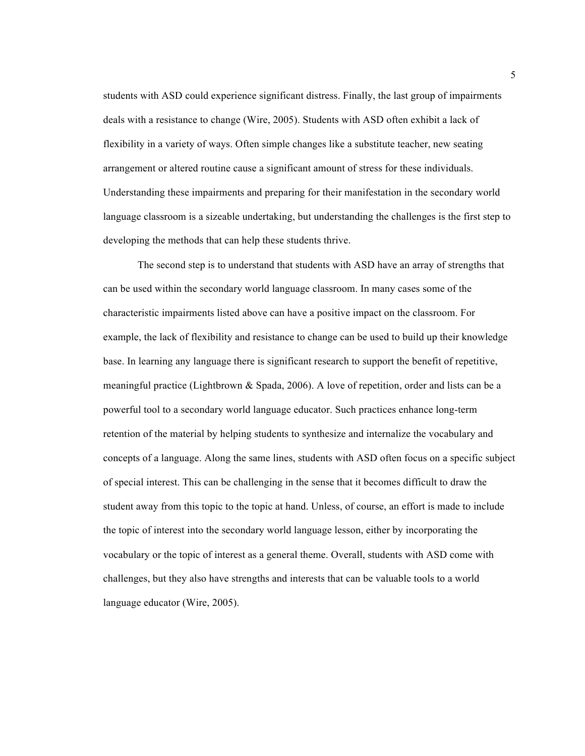students with ASD could experience significant distress. Finally, the last group of impairments deals with a resistance to change (Wire, 2005). Students with ASD often exhibit a lack of flexibility in a variety of ways. Often simple changes like a substitute teacher, new seating arrangement or altered routine cause a significant amount of stress for these individuals. Understanding these impairments and preparing for their manifestation in the secondary world language classroom is a sizeable undertaking, but understanding the challenges is the first step to developing the methods that can help these students thrive.

The second step is to understand that students with ASD have an array of strengths that can be used within the secondary world language classroom. In many cases some of the characteristic impairments listed above can have a positive impact on the classroom. For example, the lack of flexibility and resistance to change can be used to build up their knowledge base. In learning any language there is significant research to support the benefit of repetitive, meaningful practice (Lightbrown & Spada, 2006). A love of repetition, order and lists can be a powerful tool to a secondary world language educator. Such practices enhance long-term retention of the material by helping students to synthesize and internalize the vocabulary and concepts of a language. Along the same lines, students with ASD often focus on a specific subject of special interest. This can be challenging in the sense that it becomes difficult to draw the student away from this topic to the topic at hand. Unless, of course, an effort is made to include the topic of interest into the secondary world language lesson, either by incorporating the vocabulary or the topic of interest as a general theme. Overall, students with ASD come with challenges, but they also have strengths and interests that can be valuable tools to a world language educator (Wire, 2005).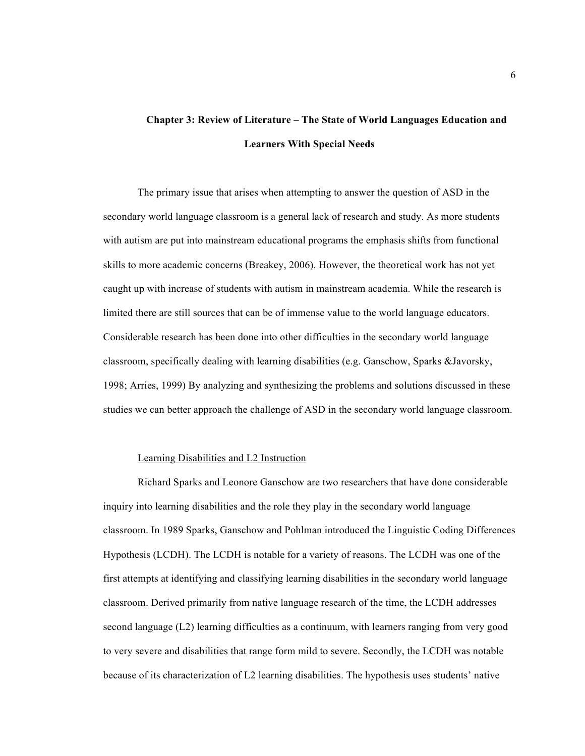# **Chapter 3: Review of Literature – The State of World Languages Education and Learners With Special Needs**

The primary issue that arises when attempting to answer the question of ASD in the secondary world language classroom is a general lack of research and study. As more students with autism are put into mainstream educational programs the emphasis shifts from functional skills to more academic concerns (Breakey, 2006). However, the theoretical work has not yet caught up with increase of students with autism in mainstream academia. While the research is limited there are still sources that can be of immense value to the world language educators. Considerable research has been done into other difficulties in the secondary world language classroom, specifically dealing with learning disabilities (e.g. Ganschow, Sparks &Javorsky, 1998; Arries, 1999) By analyzing and synthesizing the problems and solutions discussed in these studies we can better approach the challenge of ASD in the secondary world language classroom.

#### Learning Disabilities and L2 Instruction

Richard Sparks and Leonore Ganschow are two researchers that have done considerable inquiry into learning disabilities and the role they play in the secondary world language classroom. In 1989 Sparks, Ganschow and Pohlman introduced the Linguistic Coding Differences Hypothesis (LCDH). The LCDH is notable for a variety of reasons. The LCDH was one of the first attempts at identifying and classifying learning disabilities in the secondary world language classroom. Derived primarily from native language research of the time, the LCDH addresses second language (L2) learning difficulties as a continuum, with learners ranging from very good to very severe and disabilities that range form mild to severe. Secondly, the LCDH was notable because of its characterization of L2 learning disabilities. The hypothesis uses students' native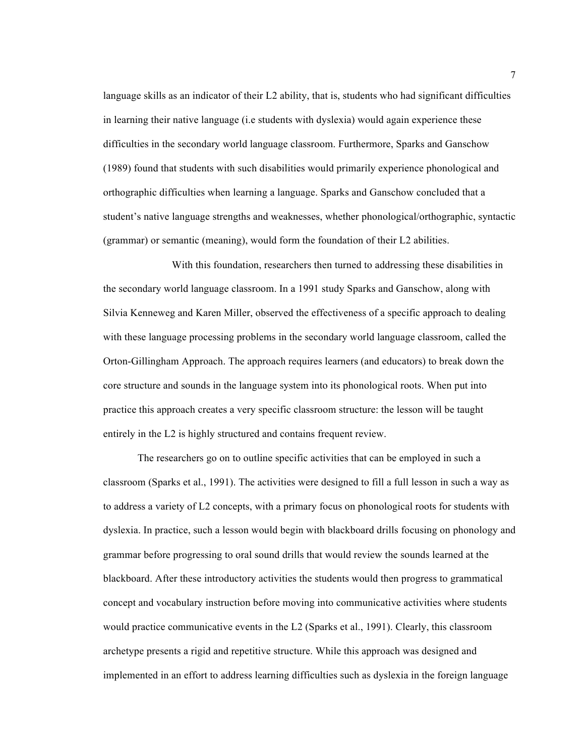language skills as an indicator of their L2 ability, that is, students who had significant difficulties in learning their native language (i.e students with dyslexia) would again experience these difficulties in the secondary world language classroom. Furthermore, Sparks and Ganschow (1989) found that students with such disabilities would primarily experience phonological and orthographic difficulties when learning a language. Sparks and Ganschow concluded that a student's native language strengths and weaknesses, whether phonological/orthographic, syntactic (grammar) or semantic (meaning), would form the foundation of their L2 abilities.

With this foundation, researchers then turned to addressing these disabilities in the secondary world language classroom. In a 1991 study Sparks and Ganschow, along with Silvia Kenneweg and Karen Miller, observed the effectiveness of a specific approach to dealing with these language processing problems in the secondary world language classroom, called the Orton-Gillingham Approach. The approach requires learners (and educators) to break down the core structure and sounds in the language system into its phonological roots. When put into practice this approach creates a very specific classroom structure: the lesson will be taught entirely in the L2 is highly structured and contains frequent review.

The researchers go on to outline specific activities that can be employed in such a classroom (Sparks et al., 1991). The activities were designed to fill a full lesson in such a way as to address a variety of L2 concepts, with a primary focus on phonological roots for students with dyslexia. In practice, such a lesson would begin with blackboard drills focusing on phonology and grammar before progressing to oral sound drills that would review the sounds learned at the blackboard. After these introductory activities the students would then progress to grammatical concept and vocabulary instruction before moving into communicative activities where students would practice communicative events in the L2 (Sparks et al., 1991). Clearly, this classroom archetype presents a rigid and repetitive structure. While this approach was designed and implemented in an effort to address learning difficulties such as dyslexia in the foreign language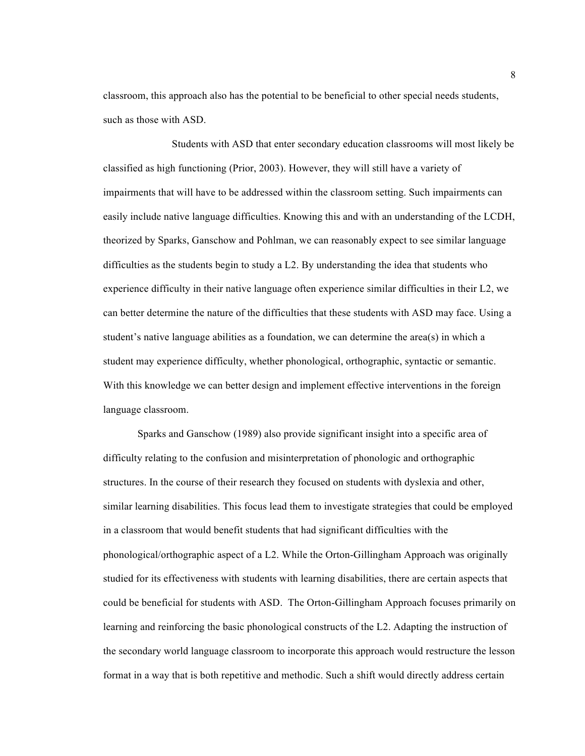classroom, this approach also has the potential to be beneficial to other special needs students, such as those with ASD.

Students with ASD that enter secondary education classrooms will most likely be classified as high functioning (Prior, 2003). However, they will still have a variety of impairments that will have to be addressed within the classroom setting. Such impairments can easily include native language difficulties. Knowing this and with an understanding of the LCDH, theorized by Sparks, Ganschow and Pohlman, we can reasonably expect to see similar language difficulties as the students begin to study a L2. By understanding the idea that students who experience difficulty in their native language often experience similar difficulties in their L2, we can better determine the nature of the difficulties that these students with ASD may face. Using a student's native language abilities as a foundation, we can determine the area(s) in which a student may experience difficulty, whether phonological, orthographic, syntactic or semantic. With this knowledge we can better design and implement effective interventions in the foreign language classroom.

Sparks and Ganschow (1989) also provide significant insight into a specific area of difficulty relating to the confusion and misinterpretation of phonologic and orthographic structures. In the course of their research they focused on students with dyslexia and other, similar learning disabilities. This focus lead them to investigate strategies that could be employed in a classroom that would benefit students that had significant difficulties with the phonological/orthographic aspect of a L2. While the Orton-Gillingham Approach was originally studied for its effectiveness with students with learning disabilities, there are certain aspects that could be beneficial for students with ASD. The Orton-Gillingham Approach focuses primarily on learning and reinforcing the basic phonological constructs of the L2. Adapting the instruction of the secondary world language classroom to incorporate this approach would restructure the lesson format in a way that is both repetitive and methodic. Such a shift would directly address certain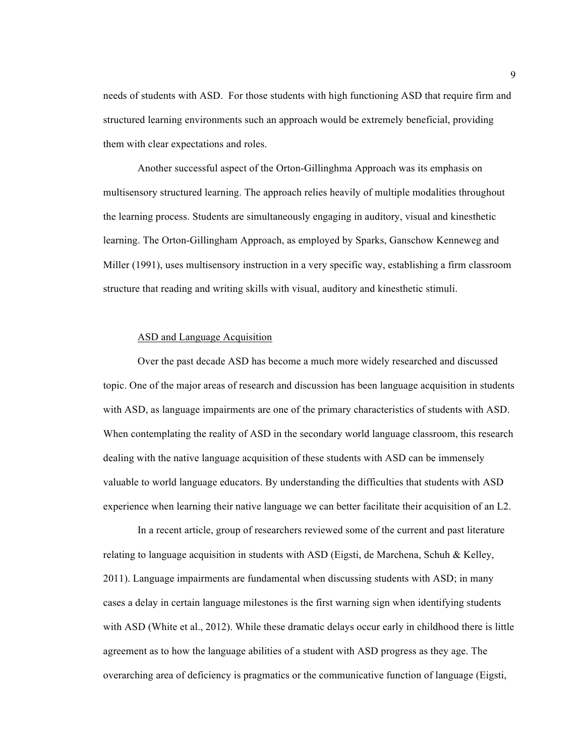needs of students with ASD. For those students with high functioning ASD that require firm and structured learning environments such an approach would be extremely beneficial, providing them with clear expectations and roles.

Another successful aspect of the Orton-Gillinghma Approach was its emphasis on multisensory structured learning. The approach relies heavily of multiple modalities throughout the learning process. Students are simultaneously engaging in auditory, visual and kinesthetic learning. The Orton-Gillingham Approach, as employed by Sparks, Ganschow Kenneweg and Miller (1991), uses multisensory instruction in a very specific way, establishing a firm classroom structure that reading and writing skills with visual, auditory and kinesthetic stimuli.

#### ASD and Language Acquisition

Over the past decade ASD has become a much more widely researched and discussed topic. One of the major areas of research and discussion has been language acquisition in students with ASD, as language impairments are one of the primary characteristics of students with ASD. When contemplating the reality of ASD in the secondary world language classroom, this research dealing with the native language acquisition of these students with ASD can be immensely valuable to world language educators. By understanding the difficulties that students with ASD experience when learning their native language we can better facilitate their acquisition of an L2.

In a recent article, group of researchers reviewed some of the current and past literature relating to language acquisition in students with ASD (Eigsti, de Marchena, Schuh & Kelley, 2011). Language impairments are fundamental when discussing students with ASD; in many cases a delay in certain language milestones is the first warning sign when identifying students with ASD (White et al., 2012). While these dramatic delays occur early in childhood there is little agreement as to how the language abilities of a student with ASD progress as they age. The overarching area of deficiency is pragmatics or the communicative function of language (Eigsti,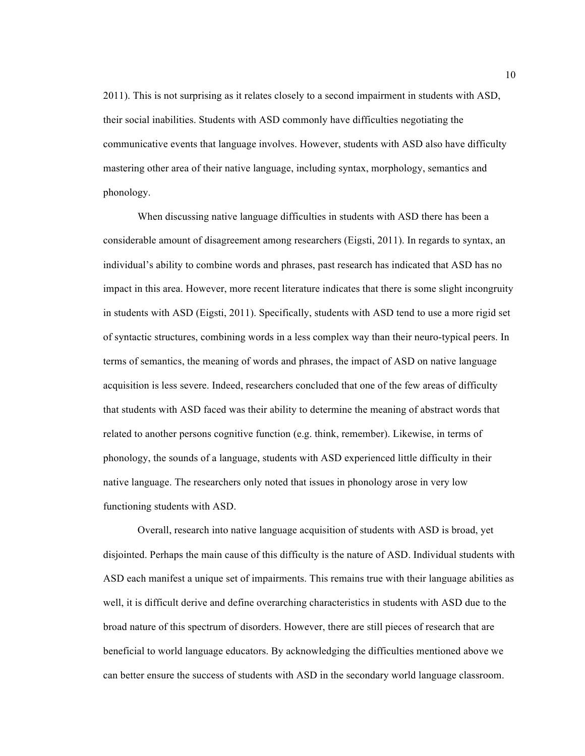2011). This is not surprising as it relates closely to a second impairment in students with ASD, their social inabilities. Students with ASD commonly have difficulties negotiating the communicative events that language involves. However, students with ASD also have difficulty mastering other area of their native language, including syntax, morphology, semantics and phonology.

When discussing native language difficulties in students with ASD there has been a considerable amount of disagreement among researchers (Eigsti, 2011). In regards to syntax, an individual's ability to combine words and phrases, past research has indicated that ASD has no impact in this area. However, more recent literature indicates that there is some slight incongruity in students with ASD (Eigsti, 2011). Specifically, students with ASD tend to use a more rigid set of syntactic structures, combining words in a less complex way than their neuro-typical peers. In terms of semantics, the meaning of words and phrases, the impact of ASD on native language acquisition is less severe. Indeed, researchers concluded that one of the few areas of difficulty that students with ASD faced was their ability to determine the meaning of abstract words that related to another persons cognitive function (e.g. think, remember). Likewise, in terms of phonology, the sounds of a language, students with ASD experienced little difficulty in their native language. The researchers only noted that issues in phonology arose in very low functioning students with ASD.

Overall, research into native language acquisition of students with ASD is broad, yet disjointed. Perhaps the main cause of this difficulty is the nature of ASD. Individual students with ASD each manifest a unique set of impairments. This remains true with their language abilities as well, it is difficult derive and define overarching characteristics in students with ASD due to the broad nature of this spectrum of disorders. However, there are still pieces of research that are beneficial to world language educators. By acknowledging the difficulties mentioned above we can better ensure the success of students with ASD in the secondary world language classroom.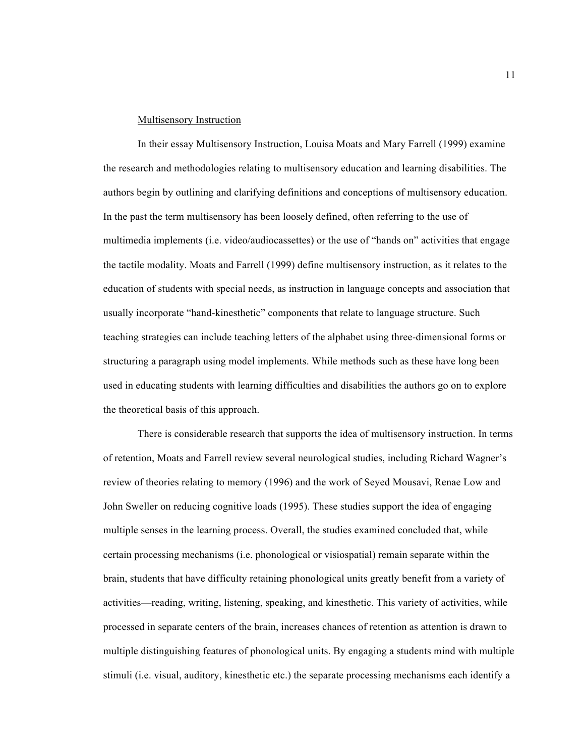#### Multisensory Instruction

In their essay Multisensory Instruction, Louisa Moats and Mary Farrell (1999) examine the research and methodologies relating to multisensory education and learning disabilities. The authors begin by outlining and clarifying definitions and conceptions of multisensory education. In the past the term multisensory has been loosely defined, often referring to the use of multimedia implements (i.e. video/audiocassettes) or the use of "hands on" activities that engage the tactile modality. Moats and Farrell (1999) define multisensory instruction, as it relates to the education of students with special needs, as instruction in language concepts and association that usually incorporate "hand-kinesthetic" components that relate to language structure. Such teaching strategies can include teaching letters of the alphabet using three-dimensional forms or structuring a paragraph using model implements. While methods such as these have long been used in educating students with learning difficulties and disabilities the authors go on to explore the theoretical basis of this approach.

There is considerable research that supports the idea of multisensory instruction. In terms of retention, Moats and Farrell review several neurological studies, including Richard Wagner's review of theories relating to memory (1996) and the work of Seyed Mousavi, Renae Low and John Sweller on reducing cognitive loads (1995). These studies support the idea of engaging multiple senses in the learning process. Overall, the studies examined concluded that, while certain processing mechanisms (i.e. phonological or visiospatial) remain separate within the brain, students that have difficulty retaining phonological units greatly benefit from a variety of activities—reading, writing, listening, speaking, and kinesthetic. This variety of activities, while processed in separate centers of the brain, increases chances of retention as attention is drawn to multiple distinguishing features of phonological units. By engaging a students mind with multiple stimuli (i.e. visual, auditory, kinesthetic etc.) the separate processing mechanisms each identify a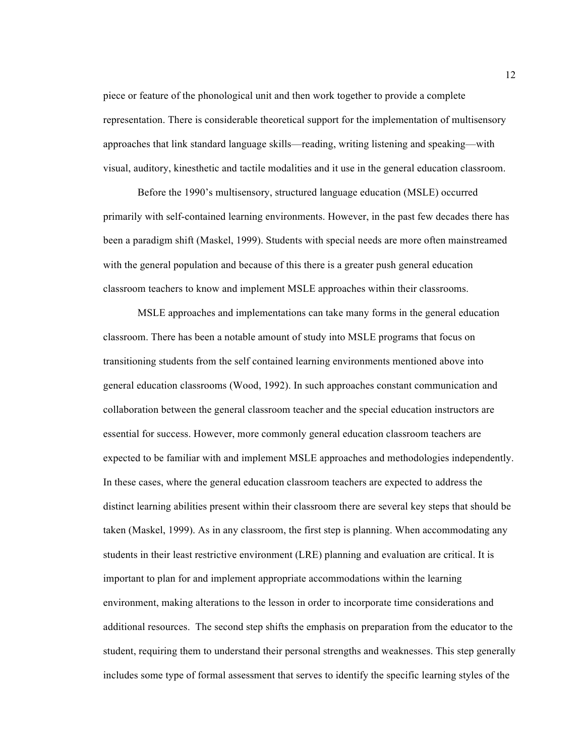piece or feature of the phonological unit and then work together to provide a complete representation. There is considerable theoretical support for the implementation of multisensory approaches that link standard language skills—reading, writing listening and speaking—with visual, auditory, kinesthetic and tactile modalities and it use in the general education classroom.

Before the 1990's multisensory, structured language education (MSLE) occurred primarily with self-contained learning environments. However, in the past few decades there has been a paradigm shift (Maskel, 1999). Students with special needs are more often mainstreamed with the general population and because of this there is a greater push general education classroom teachers to know and implement MSLE approaches within their classrooms.

MSLE approaches and implementations can take many forms in the general education classroom. There has been a notable amount of study into MSLE programs that focus on transitioning students from the self contained learning environments mentioned above into general education classrooms (Wood, 1992). In such approaches constant communication and collaboration between the general classroom teacher and the special education instructors are essential for success. However, more commonly general education classroom teachers are expected to be familiar with and implement MSLE approaches and methodologies independently. In these cases, where the general education classroom teachers are expected to address the distinct learning abilities present within their classroom there are several key steps that should be taken (Maskel, 1999). As in any classroom, the first step is planning. When accommodating any students in their least restrictive environment (LRE) planning and evaluation are critical. It is important to plan for and implement appropriate accommodations within the learning environment, making alterations to the lesson in order to incorporate time considerations and additional resources. The second step shifts the emphasis on preparation from the educator to the student, requiring them to understand their personal strengths and weaknesses. This step generally includes some type of formal assessment that serves to identify the specific learning styles of the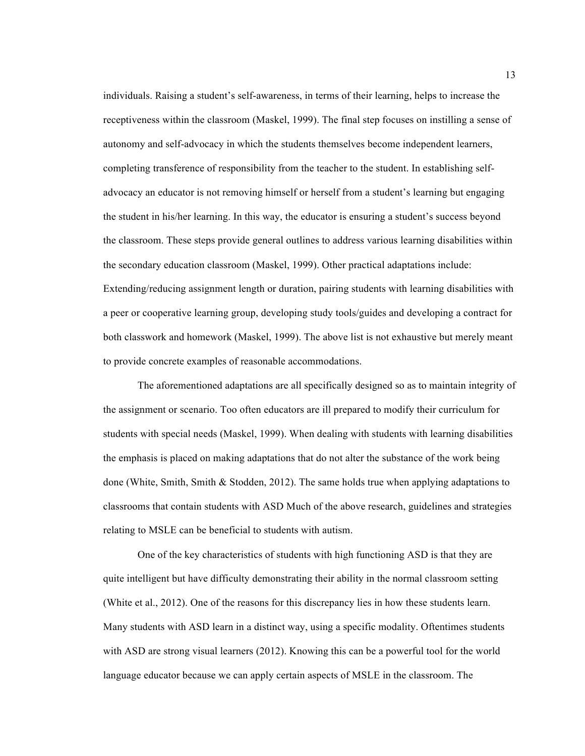individuals. Raising a student's self-awareness, in terms of their learning, helps to increase the receptiveness within the classroom (Maskel, 1999). The final step focuses on instilling a sense of autonomy and self-advocacy in which the students themselves become independent learners, completing transference of responsibility from the teacher to the student. In establishing selfadvocacy an educator is not removing himself or herself from a student's learning but engaging the student in his/her learning. In this way, the educator is ensuring a student's success beyond the classroom. These steps provide general outlines to address various learning disabilities within the secondary education classroom (Maskel, 1999). Other practical adaptations include: Extending/reducing assignment length or duration, pairing students with learning disabilities with a peer or cooperative learning group, developing study tools/guides and developing a contract for both classwork and homework (Maskel, 1999). The above list is not exhaustive but merely meant to provide concrete examples of reasonable accommodations.

The aforementioned adaptations are all specifically designed so as to maintain integrity of the assignment or scenario. Too often educators are ill prepared to modify their curriculum for students with special needs (Maskel, 1999). When dealing with students with learning disabilities the emphasis is placed on making adaptations that do not alter the substance of the work being done (White, Smith, Smith & Stodden, 2012). The same holds true when applying adaptations to classrooms that contain students with ASD Much of the above research, guidelines and strategies relating to MSLE can be beneficial to students with autism.

One of the key characteristics of students with high functioning ASD is that they are quite intelligent but have difficulty demonstrating their ability in the normal classroom setting (White et al., 2012). One of the reasons for this discrepancy lies in how these students learn. Many students with ASD learn in a distinct way, using a specific modality. Oftentimes students with ASD are strong visual learners (2012). Knowing this can be a powerful tool for the world language educator because we can apply certain aspects of MSLE in the classroom. The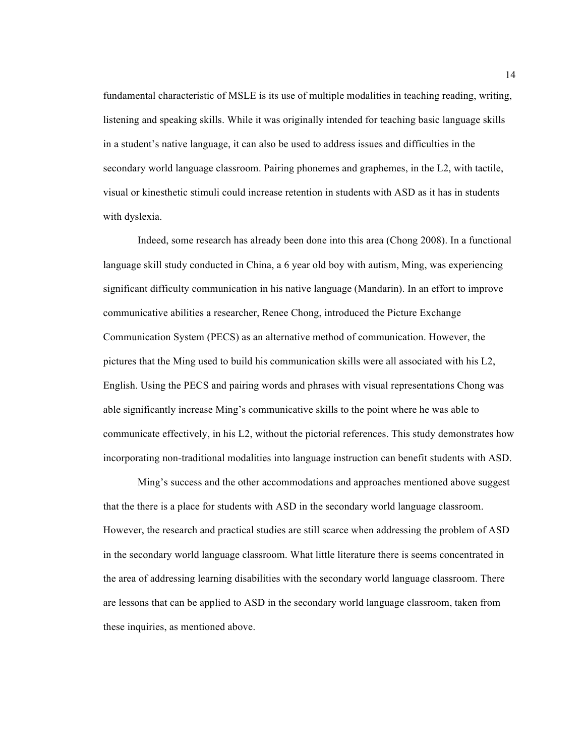fundamental characteristic of MSLE is its use of multiple modalities in teaching reading, writing, listening and speaking skills. While it was originally intended for teaching basic language skills in a student's native language, it can also be used to address issues and difficulties in the secondary world language classroom. Pairing phonemes and graphemes, in the L2, with tactile, visual or kinesthetic stimuli could increase retention in students with ASD as it has in students with dyslexia.

Indeed, some research has already been done into this area (Chong 2008). In a functional language skill study conducted in China, a 6 year old boy with autism, Ming, was experiencing significant difficulty communication in his native language (Mandarin). In an effort to improve communicative abilities a researcher, Renee Chong, introduced the Picture Exchange Communication System (PECS) as an alternative method of communication. However, the pictures that the Ming used to build his communication skills were all associated with his L2, English. Using the PECS and pairing words and phrases with visual representations Chong was able significantly increase Ming's communicative skills to the point where he was able to communicate effectively, in his L2, without the pictorial references. This study demonstrates how incorporating non-traditional modalities into language instruction can benefit students with ASD.

Ming's success and the other accommodations and approaches mentioned above suggest that the there is a place for students with ASD in the secondary world language classroom. However, the research and practical studies are still scarce when addressing the problem of ASD in the secondary world language classroom. What little literature there is seems concentrated in the area of addressing learning disabilities with the secondary world language classroom. There are lessons that can be applied to ASD in the secondary world language classroom, taken from these inquiries, as mentioned above.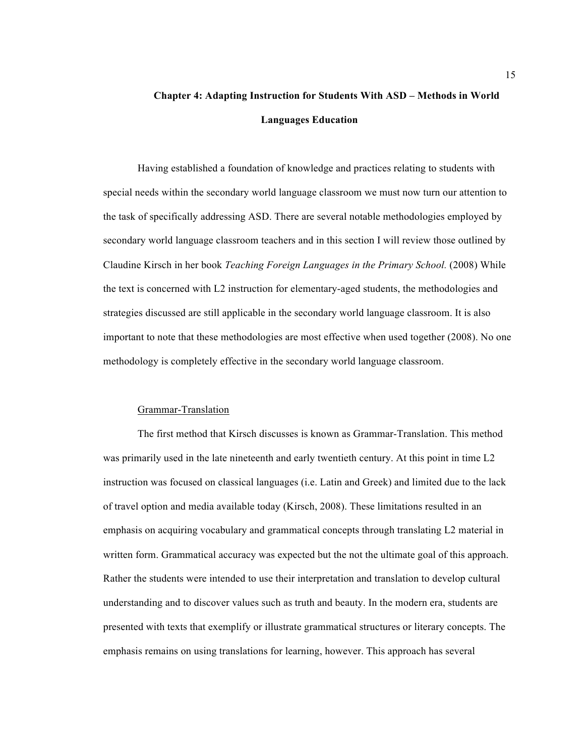# **Chapter 4: Adapting Instruction for Students With ASD – Methods in World Languages Education**

Having established a foundation of knowledge and practices relating to students with special needs within the secondary world language classroom we must now turn our attention to the task of specifically addressing ASD. There are several notable methodologies employed by secondary world language classroom teachers and in this section I will review those outlined by Claudine Kirsch in her book *Teaching Foreign Languages in the Primary School.* (2008) While the text is concerned with L2 instruction for elementary-aged students, the methodologies and strategies discussed are still applicable in the secondary world language classroom. It is also important to note that these methodologies are most effective when used together (2008). No one methodology is completely effective in the secondary world language classroom.

#### Grammar-Translation

The first method that Kirsch discusses is known as Grammar-Translation. This method was primarily used in the late nineteenth and early twentieth century. At this point in time L2 instruction was focused on classical languages (i.e. Latin and Greek) and limited due to the lack of travel option and media available today (Kirsch, 2008). These limitations resulted in an emphasis on acquiring vocabulary and grammatical concepts through translating L2 material in written form. Grammatical accuracy was expected but the not the ultimate goal of this approach. Rather the students were intended to use their interpretation and translation to develop cultural understanding and to discover values such as truth and beauty. In the modern era, students are presented with texts that exemplify or illustrate grammatical structures or literary concepts. The emphasis remains on using translations for learning, however. This approach has several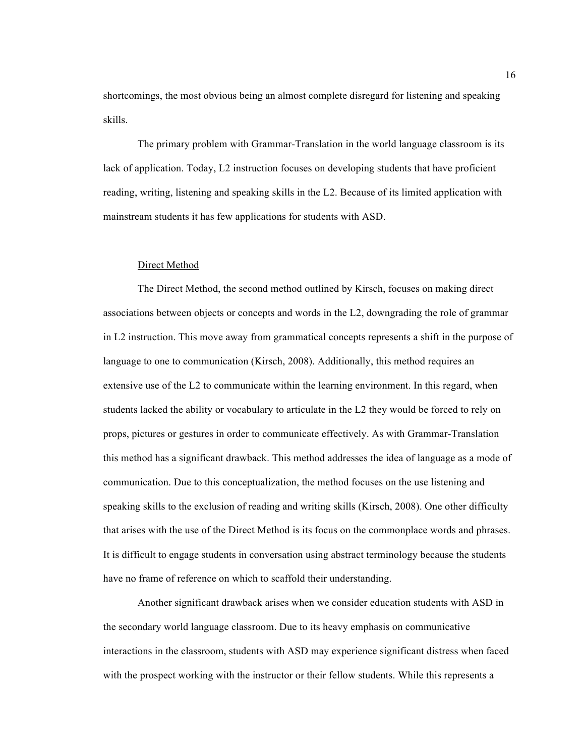shortcomings, the most obvious being an almost complete disregard for listening and speaking skills.

The primary problem with Grammar-Translation in the world language classroom is its lack of application. Today, L2 instruction focuses on developing students that have proficient reading, writing, listening and speaking skills in the L2. Because of its limited application with mainstream students it has few applications for students with ASD.

#### Direct Method

The Direct Method, the second method outlined by Kirsch, focuses on making direct associations between objects or concepts and words in the L2, downgrading the role of grammar in L2 instruction. This move away from grammatical concepts represents a shift in the purpose of language to one to communication (Kirsch, 2008). Additionally, this method requires an extensive use of the L2 to communicate within the learning environment. In this regard, when students lacked the ability or vocabulary to articulate in the L2 they would be forced to rely on props, pictures or gestures in order to communicate effectively. As with Grammar-Translation this method has a significant drawback. This method addresses the idea of language as a mode of communication. Due to this conceptualization, the method focuses on the use listening and speaking skills to the exclusion of reading and writing skills (Kirsch, 2008). One other difficulty that arises with the use of the Direct Method is its focus on the commonplace words and phrases. It is difficult to engage students in conversation using abstract terminology because the students have no frame of reference on which to scaffold their understanding.

Another significant drawback arises when we consider education students with ASD in the secondary world language classroom. Due to its heavy emphasis on communicative interactions in the classroom, students with ASD may experience significant distress when faced with the prospect working with the instructor or their fellow students. While this represents a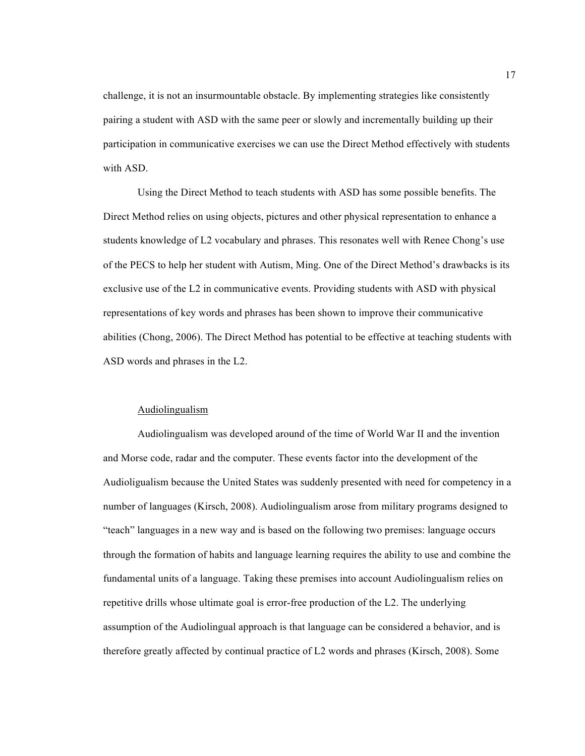challenge, it is not an insurmountable obstacle. By implementing strategies like consistently pairing a student with ASD with the same peer or slowly and incrementally building up their participation in communicative exercises we can use the Direct Method effectively with students with ASD.

Using the Direct Method to teach students with ASD has some possible benefits. The Direct Method relies on using objects, pictures and other physical representation to enhance a students knowledge of L2 vocabulary and phrases. This resonates well with Renee Chong's use of the PECS to help her student with Autism, Ming. One of the Direct Method's drawbacks is its exclusive use of the L2 in communicative events. Providing students with ASD with physical representations of key words and phrases has been shown to improve their communicative abilities (Chong, 2006). The Direct Method has potential to be effective at teaching students with ASD words and phrases in the L2.

### Audiolingualism

Audiolingualism was developed around of the time of World War II and the invention and Morse code, radar and the computer. These events factor into the development of the Audioligualism because the United States was suddenly presented with need for competency in a number of languages (Kirsch, 2008). Audiolingualism arose from military programs designed to "teach" languages in a new way and is based on the following two premises: language occurs through the formation of habits and language learning requires the ability to use and combine the fundamental units of a language. Taking these premises into account Audiolingualism relies on repetitive drills whose ultimate goal is error-free production of the L2. The underlying assumption of the Audiolingual approach is that language can be considered a behavior, and is therefore greatly affected by continual practice of L2 words and phrases (Kirsch, 2008). Some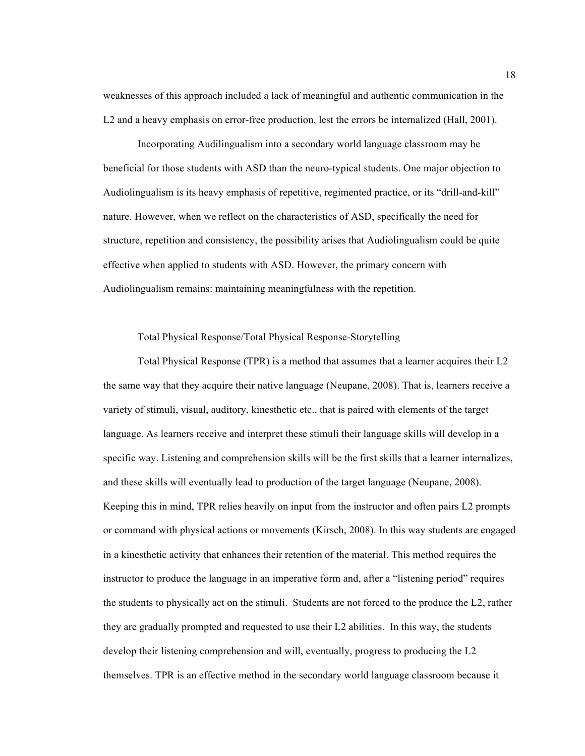weaknesses of this approach included a lack of meaningful and authentic communication in the L2 and a heavy emphasis on error-free production, lest the errors be internalized (Hall, 2001).

Incorporating Audilingualism into a secondary world language classroom may be beneficial for those students with ASD than the neuro-typical students. One major objection to Audiolingualism is its heavy emphasis of repetitive, regimented practice, or its "drill-and-kill" nature. However, when we reflect on the characteristics of ASD, specifically the need for structure, repetition and consistency, the possibility arises that Audiolingualism could be quite effective when applied to students with ASD. However, the primary concern with Audiolingualism remains: maintaining meaningfulness with the repetition.

#### Total Physical Response/Total Physical Response-Storytelling

Total Physical Response (TPR) is a method that assumes that a learner acquires their L2 the same way that they acquire their native language (Neupane, 2008). That is, learners receive a variety of stimuli, visual, auditory, kinesthetic etc., that is paired with elements of the target language. As learners receive and interpret these stimuli their language skills will develop in a specific way. Listening and comprehension skills will be the first skills that a learner internalizes, and these skills will eventually lead to production of the target language (Neupane, 2008). Keeping this in mind, TPR relies heavily on input from the instructor and often pairs L2 prompts or command with physical actions or movements (Kirsch, 2008). In this way students are engaged in a kinesthetic activity that enhances their retention of the material. This method requires the instructor to produce the language in an imperative form and, after a "listening period" requires the students to physically act on the stimuli. Students are not forced to the produce the L2, rather they are gradually prompted and requested to use their L2 abilities. In this way, the students develop their listening comprehension and will, eventually, progress to producing the L2 themselves. TPR is an effective method in the secondary world language classroom because it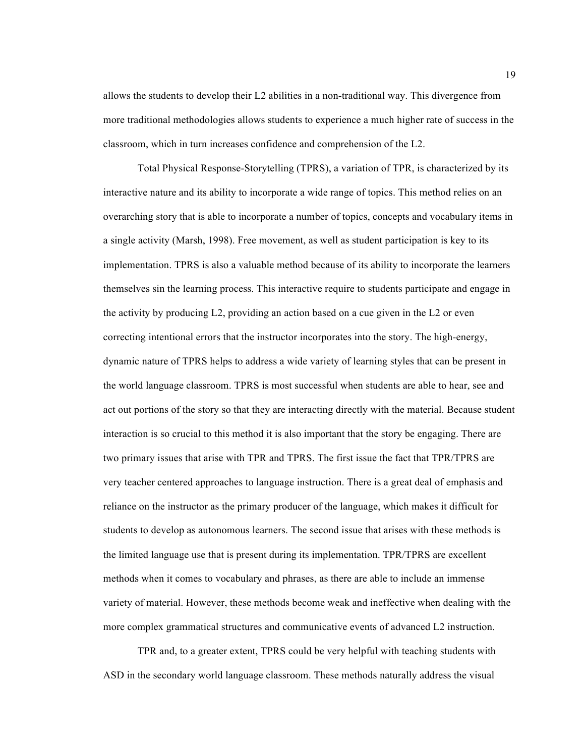allows the students to develop their L2 abilities in a non-traditional way. This divergence from more traditional methodologies allows students to experience a much higher rate of success in the classroom, which in turn increases confidence and comprehension of the L2.

Total Physical Response-Storytelling (TPRS), a variation of TPR, is characterized by its interactive nature and its ability to incorporate a wide range of topics. This method relies on an overarching story that is able to incorporate a number of topics, concepts and vocabulary items in a single activity (Marsh, 1998). Free movement, as well as student participation is key to its implementation. TPRS is also a valuable method because of its ability to incorporate the learners themselves sin the learning process. This interactive require to students participate and engage in the activity by producing L2, providing an action based on a cue given in the L2 or even correcting intentional errors that the instructor incorporates into the story. The high-energy, dynamic nature of TPRS helps to address a wide variety of learning styles that can be present in the world language classroom. TPRS is most successful when students are able to hear, see and act out portions of the story so that they are interacting directly with the material. Because student interaction is so crucial to this method it is also important that the story be engaging. There are two primary issues that arise with TPR and TPRS. The first issue the fact that TPR/TPRS are very teacher centered approaches to language instruction. There is a great deal of emphasis and reliance on the instructor as the primary producer of the language, which makes it difficult for students to develop as autonomous learners. The second issue that arises with these methods is the limited language use that is present during its implementation. TPR/TPRS are excellent methods when it comes to vocabulary and phrases, as there are able to include an immense variety of material. However, these methods become weak and ineffective when dealing with the more complex grammatical structures and communicative events of advanced L2 instruction.

TPR and, to a greater extent, TPRS could be very helpful with teaching students with ASD in the secondary world language classroom. These methods naturally address the visual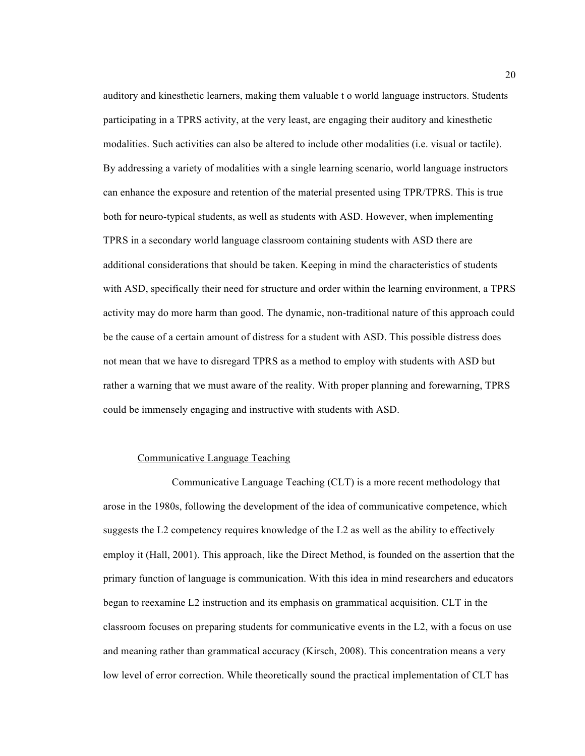auditory and kinesthetic learners, making them valuable t o world language instructors. Students participating in a TPRS activity, at the very least, are engaging their auditory and kinesthetic modalities. Such activities can also be altered to include other modalities (i.e. visual or tactile). By addressing a variety of modalities with a single learning scenario, world language instructors can enhance the exposure and retention of the material presented using TPR/TPRS. This is true both for neuro-typical students, as well as students with ASD. However, when implementing TPRS in a secondary world language classroom containing students with ASD there are additional considerations that should be taken. Keeping in mind the characteristics of students with ASD, specifically their need for structure and order within the learning environment, a TPRS activity may do more harm than good. The dynamic, non-traditional nature of this approach could be the cause of a certain amount of distress for a student with ASD. This possible distress does not mean that we have to disregard TPRS as a method to employ with students with ASD but rather a warning that we must aware of the reality. With proper planning and forewarning, TPRS could be immensely engaging and instructive with students with ASD.

#### Communicative Language Teaching

Communicative Language Teaching (CLT) is a more recent methodology that arose in the 1980s, following the development of the idea of communicative competence, which suggests the L2 competency requires knowledge of the L2 as well as the ability to effectively employ it (Hall, 2001). This approach, like the Direct Method, is founded on the assertion that the primary function of language is communication. With this idea in mind researchers and educators began to reexamine L2 instruction and its emphasis on grammatical acquisition. CLT in the classroom focuses on preparing students for communicative events in the L2, with a focus on use and meaning rather than grammatical accuracy (Kirsch, 2008). This concentration means a very low level of error correction. While theoretically sound the practical implementation of CLT has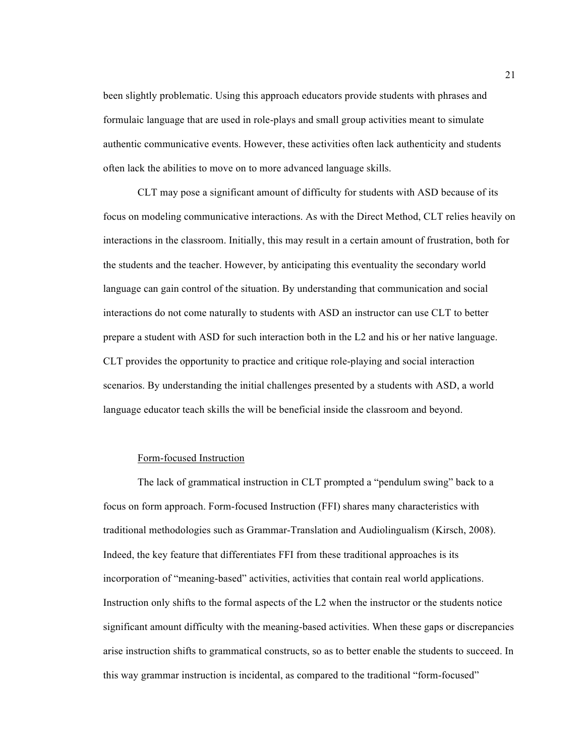been slightly problematic. Using this approach educators provide students with phrases and formulaic language that are used in role-plays and small group activities meant to simulate authentic communicative events. However, these activities often lack authenticity and students often lack the abilities to move on to more advanced language skills.

CLT may pose a significant amount of difficulty for students with ASD because of its focus on modeling communicative interactions. As with the Direct Method, CLT relies heavily on interactions in the classroom. Initially, this may result in a certain amount of frustration, both for the students and the teacher. However, by anticipating this eventuality the secondary world language can gain control of the situation. By understanding that communication and social interactions do not come naturally to students with ASD an instructor can use CLT to better prepare a student with ASD for such interaction both in the L2 and his or her native language. CLT provides the opportunity to practice and critique role-playing and social interaction scenarios. By understanding the initial challenges presented by a students with ASD, a world language educator teach skills the will be beneficial inside the classroom and beyond.

#### Form-focused Instruction

The lack of grammatical instruction in CLT prompted a "pendulum swing" back to a focus on form approach. Form-focused Instruction (FFI) shares many characteristics with traditional methodologies such as Grammar-Translation and Audiolingualism (Kirsch, 2008). Indeed, the key feature that differentiates FFI from these traditional approaches is its incorporation of "meaning-based" activities, activities that contain real world applications. Instruction only shifts to the formal aspects of the L2 when the instructor or the students notice significant amount difficulty with the meaning-based activities. When these gaps or discrepancies arise instruction shifts to grammatical constructs, so as to better enable the students to succeed. In this way grammar instruction is incidental, as compared to the traditional "form-focused"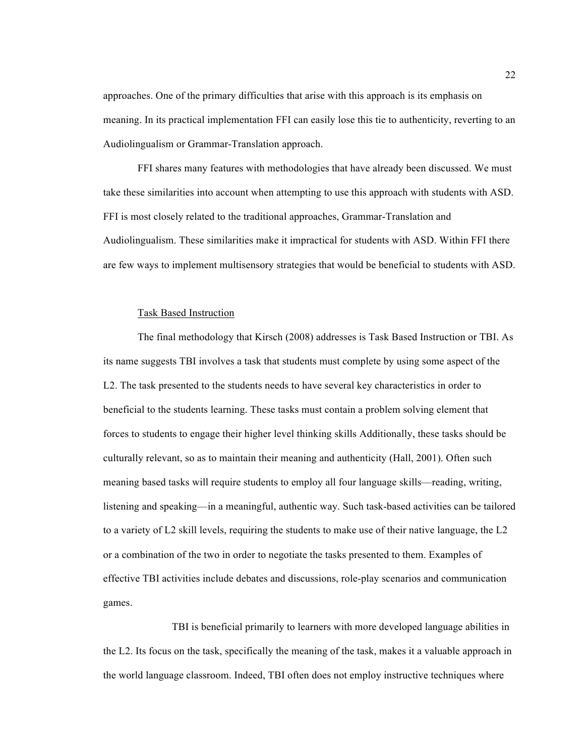approaches. One of the primary difficulties that arise with this approach is its emphasis on meaning. In its practical implementation FFI can easily lose this tie to authenticity, reverting to an Audiolingualism or Grammar-Translation approach.

FFI shares many features with methodologies that have already been discussed. We must take these similarities into account when attempting to use this approach with students with ASD. FFI is most closely related to the traditional approaches, Grammar-Translation and Audiolingualism. These similarities make it impractical for students with ASD. Within FFI there are few ways to implement multisensory strategies that would be beneficial to students with ASD.

#### Task Based Instruction

The final methodology that Kirsch (2008) addresses is Task Based Instruction or TBI. As its name suggests TBI involves a task that students must complete by using some aspect of the L2. The task presented to the students needs to have several key characteristics in order to beneficial to the students learning. These tasks must contain a problem solving element that forces to students to engage their higher level thinking skills Additionally, these tasks should be culturally relevant, so as to maintain their meaning and authenticity (Hall, 2001). Often such meaning based tasks will require students to employ all four language skills—reading, writing, listening and speaking—in a meaningful, authentic way. Such task-based activities can be tailored to a variety of L2 skill levels, requiring the students to make use of their native language, the L2 or a combination of the two in order to negotiate the tasks presented to them. Examples of effective TBI activities include debates and discussions, role-play scenarios and communication games.

TBI is beneficial primarily to learners with more developed language abilities in the L2. Its focus on the task, specifically the meaning of the task, makes it a valuable approach in the world language classroom. Indeed, TBI often does not employ instructive techniques where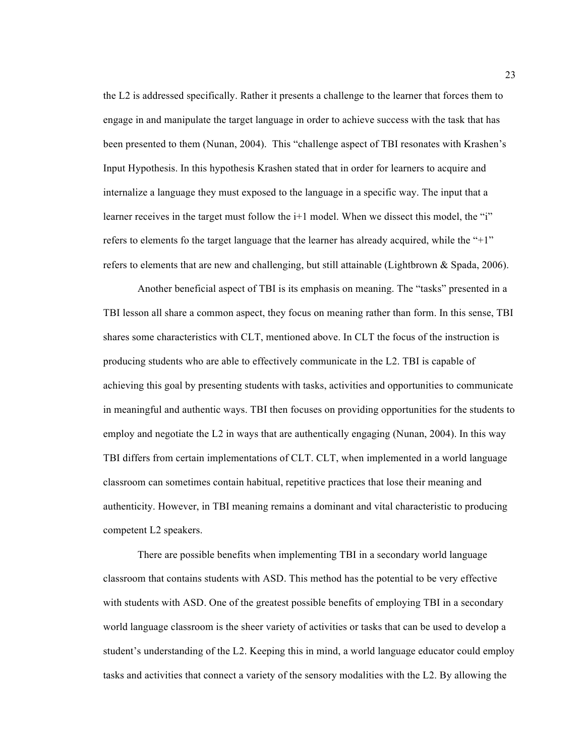the L2 is addressed specifically. Rather it presents a challenge to the learner that forces them to engage in and manipulate the target language in order to achieve success with the task that has been presented to them (Nunan, 2004). This "challenge aspect of TBI resonates with Krashen's Input Hypothesis. In this hypothesis Krashen stated that in order for learners to acquire and internalize a language they must exposed to the language in a specific way. The input that a learner receives in the target must follow the i<sup>+1</sup> model. When we dissect this model, the "i" refers to elements fo the target language that the learner has already acquired, while the "+1" refers to elements that are new and challenging, but still attainable (Lightbrown & Spada, 2006).

Another beneficial aspect of TBI is its emphasis on meaning. The "tasks" presented in a TBI lesson all share a common aspect, they focus on meaning rather than form. In this sense, TBI shares some characteristics with CLT, mentioned above. In CLT the focus of the instruction is producing students who are able to effectively communicate in the L2. TBI is capable of achieving this goal by presenting students with tasks, activities and opportunities to communicate in meaningful and authentic ways. TBI then focuses on providing opportunities for the students to employ and negotiate the L2 in ways that are authentically engaging (Nunan, 2004). In this way TBI differs from certain implementations of CLT. CLT, when implemented in a world language classroom can sometimes contain habitual, repetitive practices that lose their meaning and authenticity. However, in TBI meaning remains a dominant and vital characteristic to producing competent L2 speakers.

There are possible benefits when implementing TBI in a secondary world language classroom that contains students with ASD. This method has the potential to be very effective with students with ASD. One of the greatest possible benefits of employing TBI in a secondary world language classroom is the sheer variety of activities or tasks that can be used to develop a student's understanding of the L2. Keeping this in mind, a world language educator could employ tasks and activities that connect a variety of the sensory modalities with the L2. By allowing the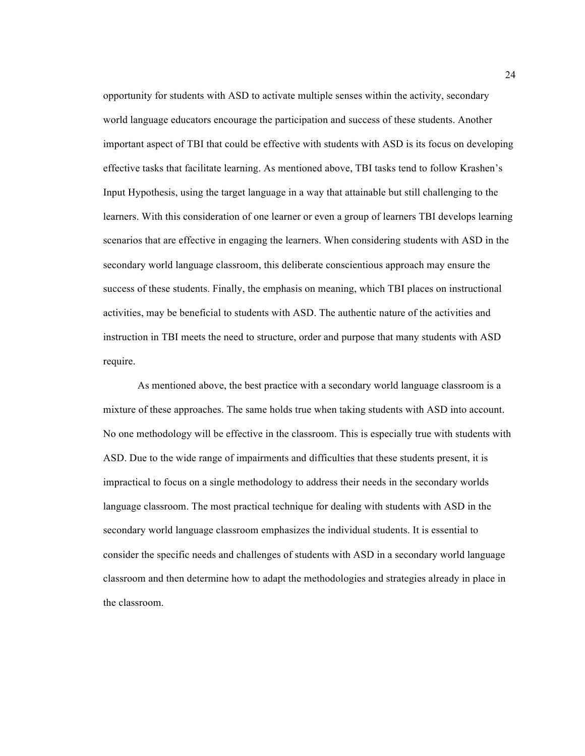opportunity for students with ASD to activate multiple senses within the activity, secondary world language educators encourage the participation and success of these students. Another important aspect of TBI that could be effective with students with ASD is its focus on developing effective tasks that facilitate learning. As mentioned above, TBI tasks tend to follow Krashen's Input Hypothesis, using the target language in a way that attainable but still challenging to the learners. With this consideration of one learner or even a group of learners TBI develops learning scenarios that are effective in engaging the learners. When considering students with ASD in the secondary world language classroom, this deliberate conscientious approach may ensure the success of these students. Finally, the emphasis on meaning, which TBI places on instructional activities, may be beneficial to students with ASD. The authentic nature of the activities and instruction in TBI meets the need to structure, order and purpose that many students with ASD require.

As mentioned above, the best practice with a secondary world language classroom is a mixture of these approaches. The same holds true when taking students with ASD into account. No one methodology will be effective in the classroom. This is especially true with students with ASD. Due to the wide range of impairments and difficulties that these students present, it is impractical to focus on a single methodology to address their needs in the secondary worlds language classroom. The most practical technique for dealing with students with ASD in the secondary world language classroom emphasizes the individual students. It is essential to consider the specific needs and challenges of students with ASD in a secondary world language classroom and then determine how to adapt the methodologies and strategies already in place in the classroom.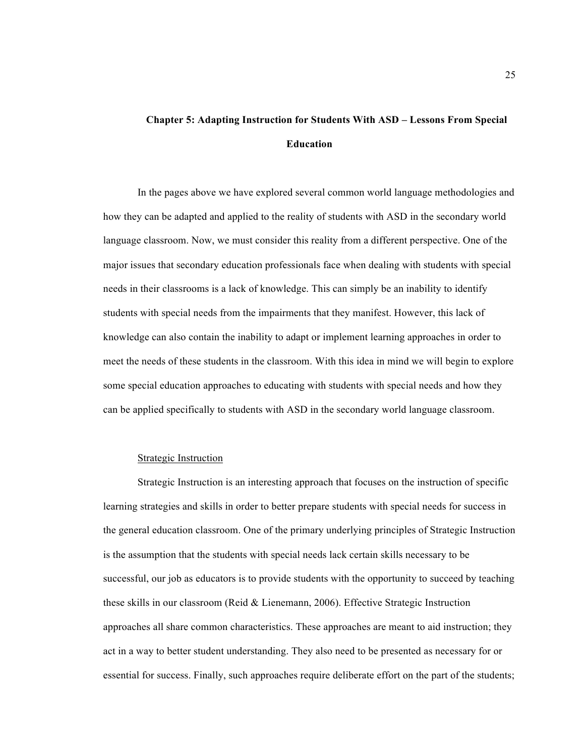# **Chapter 5: Adapting Instruction for Students With ASD – Lessons From Special Education**

In the pages above we have explored several common world language methodologies and how they can be adapted and applied to the reality of students with ASD in the secondary world language classroom. Now, we must consider this reality from a different perspective. One of the major issues that secondary education professionals face when dealing with students with special needs in their classrooms is a lack of knowledge. This can simply be an inability to identify students with special needs from the impairments that they manifest. However, this lack of knowledge can also contain the inability to adapt or implement learning approaches in order to meet the needs of these students in the classroom. With this idea in mind we will begin to explore some special education approaches to educating with students with special needs and how they can be applied specifically to students with ASD in the secondary world language classroom.

#### Strategic Instruction

Strategic Instruction is an interesting approach that focuses on the instruction of specific learning strategies and skills in order to better prepare students with special needs for success in the general education classroom. One of the primary underlying principles of Strategic Instruction is the assumption that the students with special needs lack certain skills necessary to be successful, our job as educators is to provide students with the opportunity to succeed by teaching these skills in our classroom (Reid & Lienemann, 2006). Effective Strategic Instruction approaches all share common characteristics. These approaches are meant to aid instruction; they act in a way to better student understanding. They also need to be presented as necessary for or essential for success. Finally, such approaches require deliberate effort on the part of the students;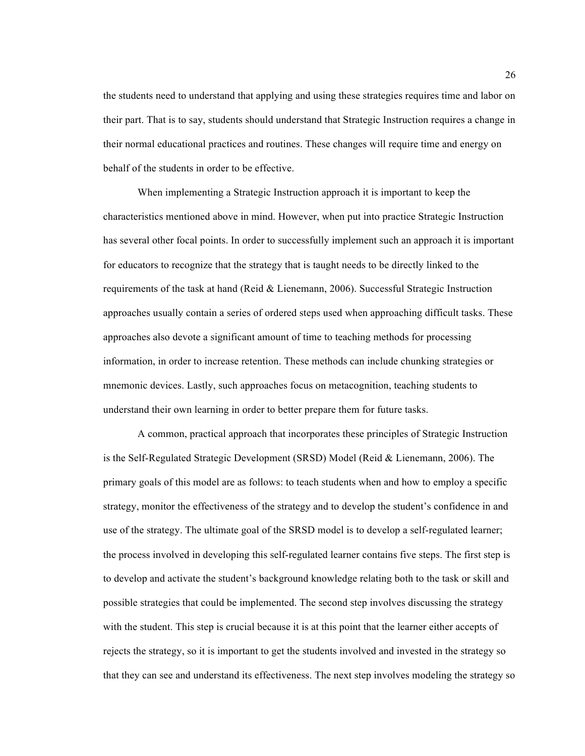the students need to understand that applying and using these strategies requires time and labor on their part. That is to say, students should understand that Strategic Instruction requires a change in their normal educational practices and routines. These changes will require time and energy on behalf of the students in order to be effective.

When implementing a Strategic Instruction approach it is important to keep the characteristics mentioned above in mind. However, when put into practice Strategic Instruction has several other focal points. In order to successfully implement such an approach it is important for educators to recognize that the strategy that is taught needs to be directly linked to the requirements of the task at hand (Reid & Lienemann, 2006). Successful Strategic Instruction approaches usually contain a series of ordered steps used when approaching difficult tasks. These approaches also devote a significant amount of time to teaching methods for processing information, in order to increase retention. These methods can include chunking strategies or mnemonic devices. Lastly, such approaches focus on metacognition, teaching students to understand their own learning in order to better prepare them for future tasks.

A common, practical approach that incorporates these principles of Strategic Instruction is the Self-Regulated Strategic Development (SRSD) Model (Reid & Lienemann, 2006). The primary goals of this model are as follows: to teach students when and how to employ a specific strategy, monitor the effectiveness of the strategy and to develop the student's confidence in and use of the strategy. The ultimate goal of the SRSD model is to develop a self-regulated learner; the process involved in developing this self-regulated learner contains five steps. The first step is to develop and activate the student's background knowledge relating both to the task or skill and possible strategies that could be implemented. The second step involves discussing the strategy with the student. This step is crucial because it is at this point that the learner either accepts of rejects the strategy, so it is important to get the students involved and invested in the strategy so that they can see and understand its effectiveness. The next step involves modeling the strategy so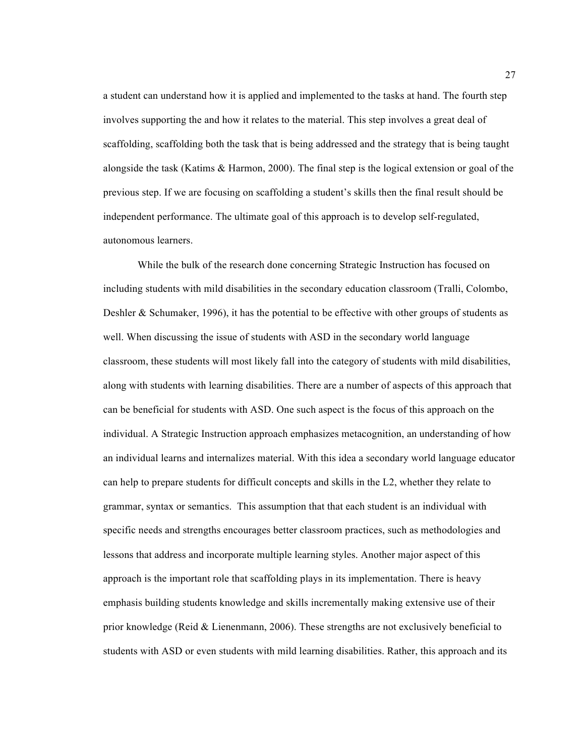a student can understand how it is applied and implemented to the tasks at hand. The fourth step involves supporting the and how it relates to the material. This step involves a great deal of scaffolding, scaffolding both the task that is being addressed and the strategy that is being taught alongside the task (Katims & Harmon, 2000). The final step is the logical extension or goal of the previous step. If we are focusing on scaffolding a student's skills then the final result should be independent performance. The ultimate goal of this approach is to develop self-regulated, autonomous learners.

While the bulk of the research done concerning Strategic Instruction has focused on including students with mild disabilities in the secondary education classroom (Tralli, Colombo, Deshler & Schumaker, 1996), it has the potential to be effective with other groups of students as well. When discussing the issue of students with ASD in the secondary world language classroom, these students will most likely fall into the category of students with mild disabilities, along with students with learning disabilities. There are a number of aspects of this approach that can be beneficial for students with ASD. One such aspect is the focus of this approach on the individual. A Strategic Instruction approach emphasizes metacognition, an understanding of how an individual learns and internalizes material. With this idea a secondary world language educator can help to prepare students for difficult concepts and skills in the L2, whether they relate to grammar, syntax or semantics. This assumption that that each student is an individual with specific needs and strengths encourages better classroom practices, such as methodologies and lessons that address and incorporate multiple learning styles. Another major aspect of this approach is the important role that scaffolding plays in its implementation. There is heavy emphasis building students knowledge and skills incrementally making extensive use of their prior knowledge (Reid  $&$  Lienenmann, 2006). These strengths are not exclusively beneficial to students with ASD or even students with mild learning disabilities. Rather, this approach and its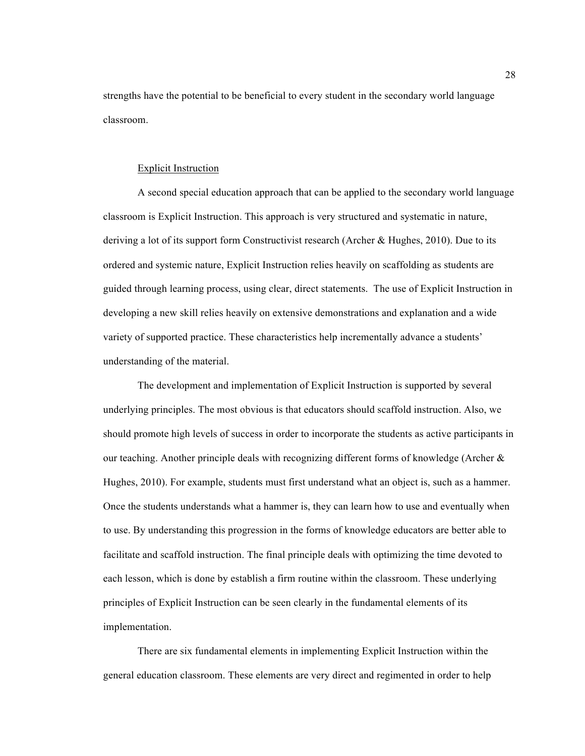strengths have the potential to be beneficial to every student in the secondary world language classroom.

#### Explicit Instruction

A second special education approach that can be applied to the secondary world language classroom is Explicit Instruction. This approach is very structured and systematic in nature, deriving a lot of its support form Constructivist research (Archer & Hughes, 2010). Due to its ordered and systemic nature, Explicit Instruction relies heavily on scaffolding as students are guided through learning process, using clear, direct statements. The use of Explicit Instruction in developing a new skill relies heavily on extensive demonstrations and explanation and a wide variety of supported practice. These characteristics help incrementally advance a students' understanding of the material.

The development and implementation of Explicit Instruction is supported by several underlying principles. The most obvious is that educators should scaffold instruction. Also, we should promote high levels of success in order to incorporate the students as active participants in our teaching. Another principle deals with recognizing different forms of knowledge (Archer  $\&$ Hughes, 2010). For example, students must first understand what an object is, such as a hammer. Once the students understands what a hammer is, they can learn how to use and eventually when to use. By understanding this progression in the forms of knowledge educators are better able to facilitate and scaffold instruction. The final principle deals with optimizing the time devoted to each lesson, which is done by establish a firm routine within the classroom. These underlying principles of Explicit Instruction can be seen clearly in the fundamental elements of its implementation.

There are six fundamental elements in implementing Explicit Instruction within the general education classroom. These elements are very direct and regimented in order to help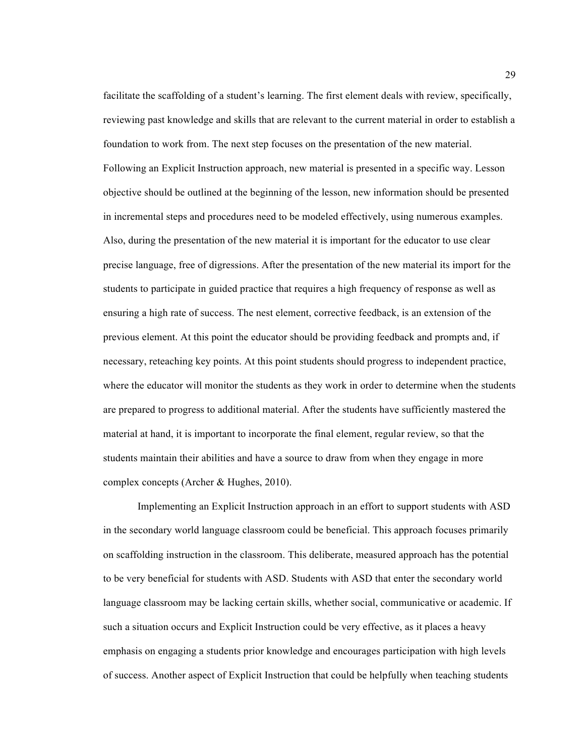facilitate the scaffolding of a student's learning. The first element deals with review, specifically, reviewing past knowledge and skills that are relevant to the current material in order to establish a foundation to work from. The next step focuses on the presentation of the new material. Following an Explicit Instruction approach, new material is presented in a specific way. Lesson objective should be outlined at the beginning of the lesson, new information should be presented in incremental steps and procedures need to be modeled effectively, using numerous examples. Also, during the presentation of the new material it is important for the educator to use clear precise language, free of digressions. After the presentation of the new material its import for the students to participate in guided practice that requires a high frequency of response as well as ensuring a high rate of success. The nest element, corrective feedback, is an extension of the previous element. At this point the educator should be providing feedback and prompts and, if necessary, reteaching key points. At this point students should progress to independent practice, where the educator will monitor the students as they work in order to determine when the students are prepared to progress to additional material. After the students have sufficiently mastered the material at hand, it is important to incorporate the final element, regular review, so that the students maintain their abilities and have a source to draw from when they engage in more complex concepts (Archer & Hughes, 2010).

Implementing an Explicit Instruction approach in an effort to support students with ASD in the secondary world language classroom could be beneficial. This approach focuses primarily on scaffolding instruction in the classroom. This deliberate, measured approach has the potential to be very beneficial for students with ASD. Students with ASD that enter the secondary world language classroom may be lacking certain skills, whether social, communicative or academic. If such a situation occurs and Explicit Instruction could be very effective, as it places a heavy emphasis on engaging a students prior knowledge and encourages participation with high levels of success. Another aspect of Explicit Instruction that could be helpfully when teaching students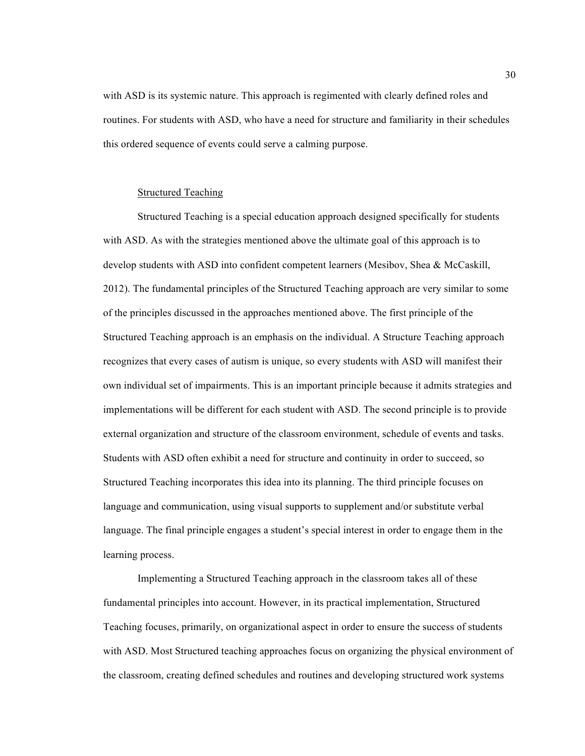with ASD is its systemic nature. This approach is regimented with clearly defined roles and routines. For students with ASD, who have a need for structure and familiarity in their schedules this ordered sequence of events could serve a calming purpose.

#### Structured Teaching

Structured Teaching is a special education approach designed specifically for students with ASD. As with the strategies mentioned above the ultimate goal of this approach is to develop students with ASD into confident competent learners (Mesibov, Shea & McCaskill, 2012). The fundamental principles of the Structured Teaching approach are very similar to some of the principles discussed in the approaches mentioned above. The first principle of the Structured Teaching approach is an emphasis on the individual. A Structure Teaching approach recognizes that every cases of autism is unique, so every students with ASD will manifest their own individual set of impairments. This is an important principle because it admits strategies and implementations will be different for each student with ASD. The second principle is to provide external organization and structure of the classroom environment, schedule of events and tasks. Students with ASD often exhibit a need for structure and continuity in order to succeed, so Structured Teaching incorporates this idea into its planning. The third principle focuses on language and communication, using visual supports to supplement and/or substitute verbal language. The final principle engages a student's special interest in order to engage them in the learning process.

Implementing a Structured Teaching approach in the classroom takes all of these fundamental principles into account. However, in its practical implementation, Structured Teaching focuses, primarily, on organizational aspect in order to ensure the success of students with ASD. Most Structured teaching approaches focus on organizing the physical environment of the classroom, creating defined schedules and routines and developing structured work systems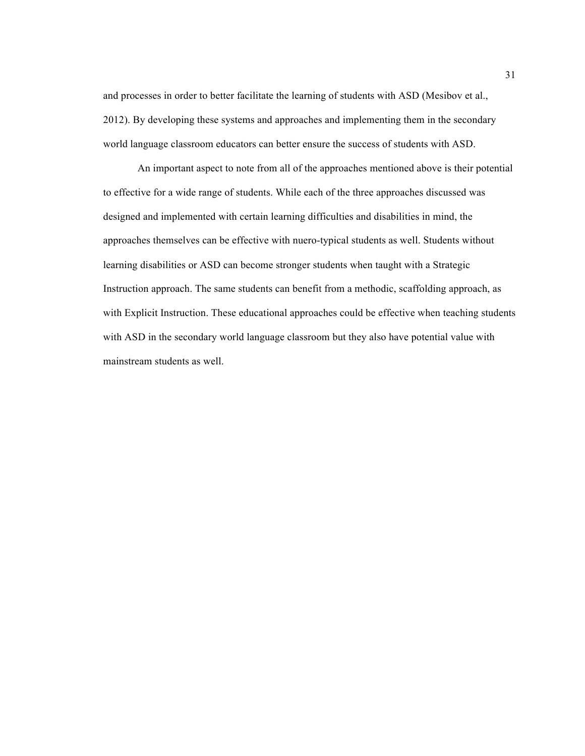and processes in order to better facilitate the learning of students with ASD (Mesibov et al., 2012). By developing these systems and approaches and implementing them in the secondary world language classroom educators can better ensure the success of students with ASD.

An important aspect to note from all of the approaches mentioned above is their potential to effective for a wide range of students. While each of the three approaches discussed was designed and implemented with certain learning difficulties and disabilities in mind, the approaches themselves can be effective with nuero-typical students as well. Students without learning disabilities or ASD can become stronger students when taught with a Strategic Instruction approach. The same students can benefit from a methodic, scaffolding approach, as with Explicit Instruction. These educational approaches could be effective when teaching students with ASD in the secondary world language classroom but they also have potential value with mainstream students as well.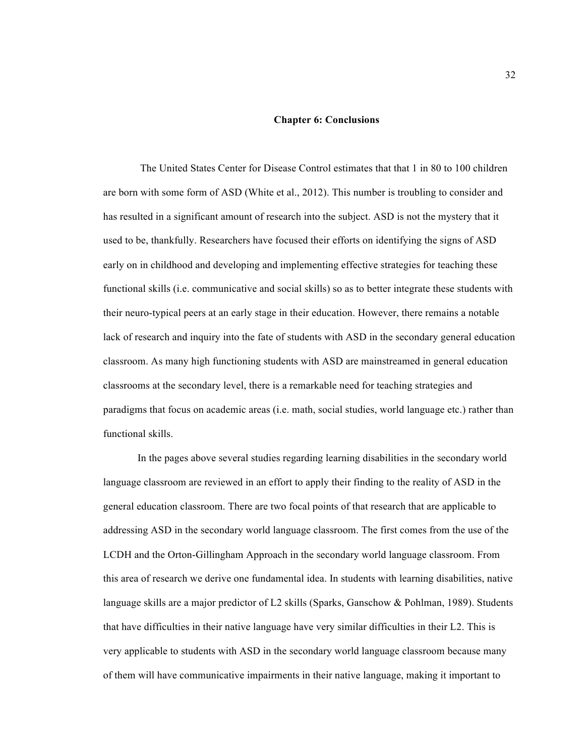#### **Chapter 6: Conclusions**

 The United States Center for Disease Control estimates that that 1 in 80 to 100 children are born with some form of ASD (White et al., 2012). This number is troubling to consider and has resulted in a significant amount of research into the subject. ASD is not the mystery that it used to be, thankfully. Researchers have focused their efforts on identifying the signs of ASD early on in childhood and developing and implementing effective strategies for teaching these functional skills (i.e. communicative and social skills) so as to better integrate these students with their neuro-typical peers at an early stage in their education. However, there remains a notable lack of research and inquiry into the fate of students with ASD in the secondary general education classroom. As many high functioning students with ASD are mainstreamed in general education classrooms at the secondary level, there is a remarkable need for teaching strategies and paradigms that focus on academic areas (i.e. math, social studies, world language etc.) rather than functional skills.

In the pages above several studies regarding learning disabilities in the secondary world language classroom are reviewed in an effort to apply their finding to the reality of ASD in the general education classroom. There are two focal points of that research that are applicable to addressing ASD in the secondary world language classroom. The first comes from the use of the LCDH and the Orton-Gillingham Approach in the secondary world language classroom. From this area of research we derive one fundamental idea. In students with learning disabilities, native language skills are a major predictor of L2 skills (Sparks, Ganschow & Pohlman, 1989). Students that have difficulties in their native language have very similar difficulties in their L2. This is very applicable to students with ASD in the secondary world language classroom because many of them will have communicative impairments in their native language, making it important to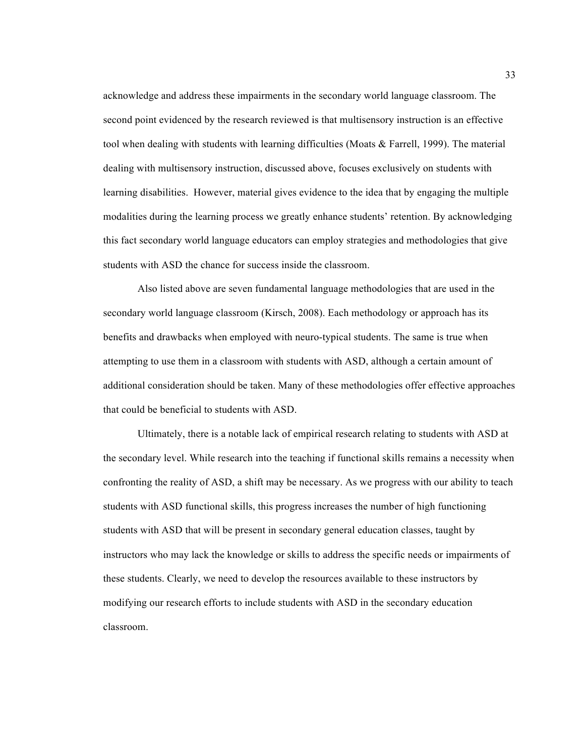acknowledge and address these impairments in the secondary world language classroom. The second point evidenced by the research reviewed is that multisensory instruction is an effective tool when dealing with students with learning difficulties (Moats & Farrell, 1999). The material dealing with multisensory instruction, discussed above, focuses exclusively on students with learning disabilities. However, material gives evidence to the idea that by engaging the multiple modalities during the learning process we greatly enhance students' retention. By acknowledging this fact secondary world language educators can employ strategies and methodologies that give students with ASD the chance for success inside the classroom.

Also listed above are seven fundamental language methodologies that are used in the secondary world language classroom (Kirsch, 2008). Each methodology or approach has its benefits and drawbacks when employed with neuro-typical students. The same is true when attempting to use them in a classroom with students with ASD, although a certain amount of additional consideration should be taken. Many of these methodologies offer effective approaches that could be beneficial to students with ASD.

Ultimately, there is a notable lack of empirical research relating to students with ASD at the secondary level. While research into the teaching if functional skills remains a necessity when confronting the reality of ASD, a shift may be necessary. As we progress with our ability to teach students with ASD functional skills, this progress increases the number of high functioning students with ASD that will be present in secondary general education classes, taught by instructors who may lack the knowledge or skills to address the specific needs or impairments of these students. Clearly, we need to develop the resources available to these instructors by modifying our research efforts to include students with ASD in the secondary education classroom.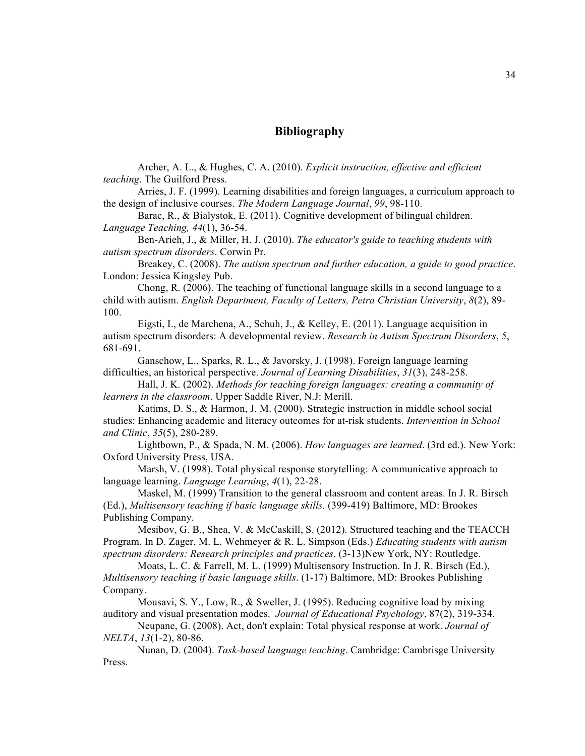## **Bibliography**

Archer, A. L., & Hughes, C. A. (2010). *Explicit instruction, effective and efficient teaching*. The Guilford Press.

Arries, J. F. (1999). Learning disabilities and foreign languages, a curriculum approach to the design of inclusive courses. *The Modern Language Journal*, *99*, 98-110.

Barac, R., & Bialystok, E. (2011). Cognitive development of bilingual children. *Language Teaching, 44*(1), 36-54.

Ben-Arieh, J., & Miller, H. J. (2010). *The educator's guide to teaching students with autism spectrum disorders*. Corwin Pr.

Breakey, C. (2008). *The autism spectrum and further education, a guide to good practice*. London: Jessica Kingsley Pub.

Chong, R. (2006). The teaching of functional language skills in a second language to a child with autism. *English Department, Faculty of Letters, Petra Christian University*, *8*(2), 89- 100.

Eigsti, I., de Marchena, A., Schuh, J., & Kelley, E. (2011). Language acquisition in autism spectrum disorders: A developmental review. *Research in Autism Spectrum Disorders*, *5*, 681-691.

Ganschow, L., Sparks, R. L., & Javorsky, J. (1998). Foreign language learning difficulties, an historical perspective. *Journal of Learning Disabilities*, *31*(3), 248-258.

Hall, J. K. (2002). *Methods for teaching foreign languages: creating a community of learners in the classroom*. Upper Saddle River, N.J: Merill.

Katims, D. S., & Harmon, J. M. (2000). Strategic instruction in middle school social studies: Enhancing academic and literacy outcomes for at-risk students. *Intervention in School and Clinic*, *35*(5), 280-289.

Lightbown, P., & Spada, N. M. (2006). *How languages are learned*. (3rd ed.). New York: Oxford University Press, USA.

Marsh, V. (1998). Total physical response storytelling: A communicative approach to language learning. *Language Learning*, *4*(1), 22-28.

Maskel, M. (1999) Transition to the general classroom and content areas. In J. R. Birsch (Ed.), *Multisensory teaching if basic language skills*. (399-419) Baltimore, MD: Brookes Publishing Company.

Mesibov, G. B., Shea, V. & McCaskill, S. (2012). Structured teaching and the TEACCH Program. In D. Zager, M. L. Wehmeyer & R. L. Simpson (Eds.) *Educating students with autism spectrum disorders: Research principles and practices*. (3-13)New York, NY: Routledge.

Moats, L. C. & Farrell, M. L. (1999) Multisensory Instruction. In J. R. Birsch (Ed.), *Multisensory teaching if basic language skills*. (1-17) Baltimore, MD: Brookes Publishing Company.

Mousavi, S. Y., Low, R., & Sweller, J. (1995). Reducing cognitive load by mixing auditory and visual presentation modes. *Journal of Educational Psychology*, 87(2), 319-334.

Neupane, G. (2008). Act, don't explain: Total physical response at work. *Journal of NELTA*, *13*(1-2), 80-86.

Nunan, D. (2004). *Task-based language teaching*. Cambridge: Cambrisge University Press.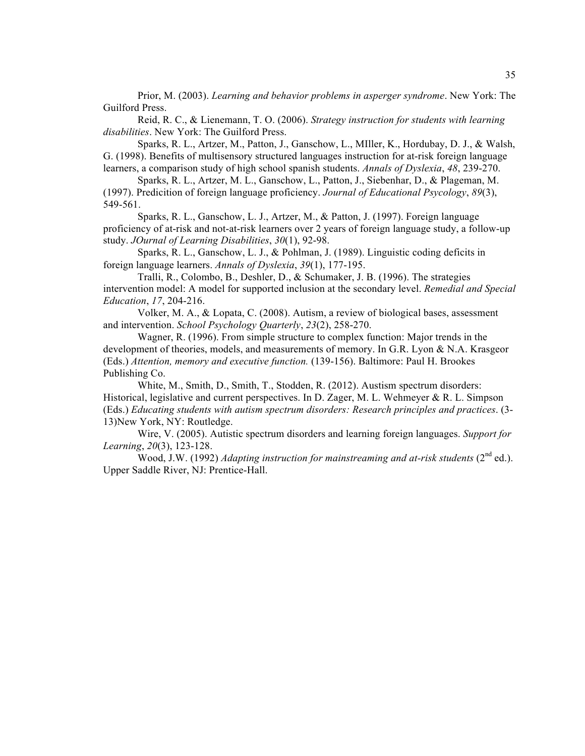Prior, M. (2003). *Learning and behavior problems in asperger syndrome*. New York: The Guilford Press.

Reid, R. C., & Lienemann, T. O. (2006). *Strategy instruction for students with learning disabilities*. New York: The Guilford Press.

Sparks, R. L., Artzer, M., Patton, J., Ganschow, L., MIller, K., Hordubay, D. J., & Walsh, G. (1998). Benefits of multisensory structured languages instruction for at-risk foreign language learners, a comparison study of high school spanish students. *Annals of Dyslexia*, *48*, 239-270.

Sparks, R. L., Artzer, M. L., Ganschow, L., Patton, J., Siebenhar, D., & Plageman, M. (1997). Predicition of foreign language proficiency. *Journal of Educational Psycology*, *89*(3), 549-561.

Sparks, R. L., Ganschow, L. J., Artzer, M., & Patton, J. (1997). Foreign language proficiency of at-risk and not-at-risk learners over 2 years of foreign language study, a follow-up study. *JOurnal of Learning Disabilities*, *30*(1), 92-98.

Sparks, R. L., Ganschow, L. J., & Pohlman, J. (1989). Linguistic coding deficits in foreign language learners. *Annals of Dyslexia*, *39*(1), 177-195.

Tralli, R., Colombo, B., Deshler, D., & Schumaker, J. B. (1996). The strategies intervention model: A model for supported inclusion at the secondary level. *Remedial and Special Education*, *17*, 204-216.

Volker, M. A., & Lopata, C. (2008). Autism, a review of biological bases, assessment and intervention. *School Psychology Quarterly*, *23*(2), 258-270.

Wagner, R. (1996). From simple structure to complex function: Major trends in the development of theories, models, and measurements of memory. In G.R. Lyon & N.A. Krasgeor (Eds.) *Attention, memory and executive function.* (139-156). Baltimore: Paul H. Brookes Publishing Co.

White, M., Smith, D., Smith, T., Stodden, R. (2012). Austism spectrum disorders: Historical, legislative and current perspectives. In D. Zager, M. L. Wehmeyer & R. L. Simpson (Eds.) *Educating students with autism spectrum disorders: Research principles and practices*. (3- 13)New York, NY: Routledge.

Wire, V. (2005). Autistic spectrum disorders and learning foreign languages. *Support for Learning*, *20*(3), 123-128.

Wood, J.W. (1992) *Adapting instruction for mainstreaming and at-risk students* (2<sup>nd</sup> ed.). Upper Saddle River, NJ: Prentice-Hall.